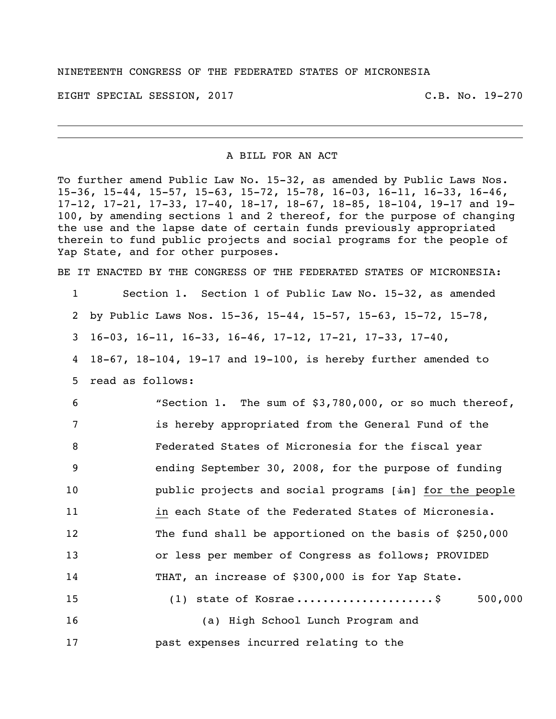## NINETEENTH CONGRESS OF THE FEDERATED STATES OF MICRONESIA

EIGHT SPECIAL SESSION, 2017 THE SECOND SERVICE SERVICES AND LOST C.B. No. 19-270

A BILL FOR AN ACT

To further amend Public Law No. 15-32, as amended by Public Laws Nos. 15-36, 15-44, 15-57, 15-63, 15-72, 15-78, 16-03, 16-11, 16-33, 16-46, 17-12, 17-21, 17-33, 17-40, 18-17, 18-67, 18-85, 18-104, 19-17 and 19- 100, by amending sections 1 and 2 thereof, for the purpose of changing the use and the lapse date of certain funds previously appropriated therein to fund public projects and social programs for the people of Yap State, and for other purposes.

BE IT ENACTED BY THE CONGRESS OF THE FEDERATED STATES OF MICRONESIA:

1 Section 1. Section 1 of Public Law No. 15-32, as amended

2 by Public Laws Nos. 15-36, 15-44, 15-57, 15-63, 15-72, 15-78,

- 3 16-03, 16-11, 16-33, 16-46, 17-12, 17-21, 17-33, 17-40,
- 4 18-67, 18-104, 19-17 and 19-100, is hereby further amended to
- 5 read as follows:

 "Section 1. The sum of \$3,780,000, or so much thereof, is hereby appropriated from the General Fund of the Federated States of Micronesia for the fiscal year ending September 30, 2008, for the purpose of funding **public projects and social programs**  $[\frac{1}{2}n]$  for the people **in each State of the Federated States of Micronesia.**  The fund shall be apportioned on the basis of \$250,000 or less per member of Congress as follows; PROVIDED THAT, an increase of \$300,000 is for Yap State. 15 (1) state of Kosrae ..........................\$ 500,000 (a) High School Lunch Program and

17 past expenses incurred relating to the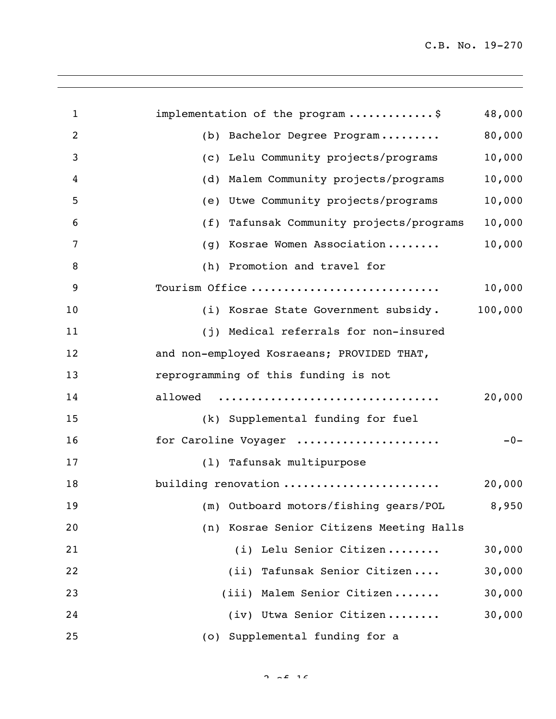| $\mathbf{1}$   | implementation of the program\$             | 48,000  |
|----------------|---------------------------------------------|---------|
| $\overline{2}$ | (b) Bachelor Degree Program                 | 80,000  |
| 3              | (c) Lelu Community projects/programs        | 10,000  |
| 4              | Malem Community projects/programs<br>(d)    | 10,000  |
| 5              | (e) Utwe Community projects/programs        | 10,000  |
| 6              | Tafunsak Community projects/programs<br>(f) | 10,000  |
| 7              | Kosrae Women Association<br>(g)             | 10,000  |
| 8              | (h) Promotion and travel for                |         |
| 9              | Tourism Office                              | 10,000  |
| 10             | (i) Kosrae State Government subsidy.        | 100,000 |
| 11             | (j) Medical referrals for non-insured       |         |
| 12             | and non-employed Kosraeans; PROVIDED THAT,  |         |
| 13             | reprogramming of this funding is not        |         |
| 14             | allowed                                     | 20,000  |
| 15             | (k) Supplemental funding for fuel           |         |
| 16             | for Caroline Voyager                        | $-0-$   |
| 17             | (1) Tafunsak multipurpose                   |         |
| 18             | building renovation                         | 20,000  |
| 19             | (m) Outboard motors/fishing gears/POL       | 8,950   |
| 20             | (n) Kosrae Senior Citizens Meeting Halls    |         |
| 21             | (i) Lelu Senior Citizen                     | 30,000  |
| 22             | (ii) Tafunsak Senior Citizen                | 30,000  |
| 23             | (iii) Malem Senior Citizen                  | 30,000  |
| 24             | (iv) Utwa Senior Citizen                    | 30,000  |
| 25             | (o) Supplemental funding for a              |         |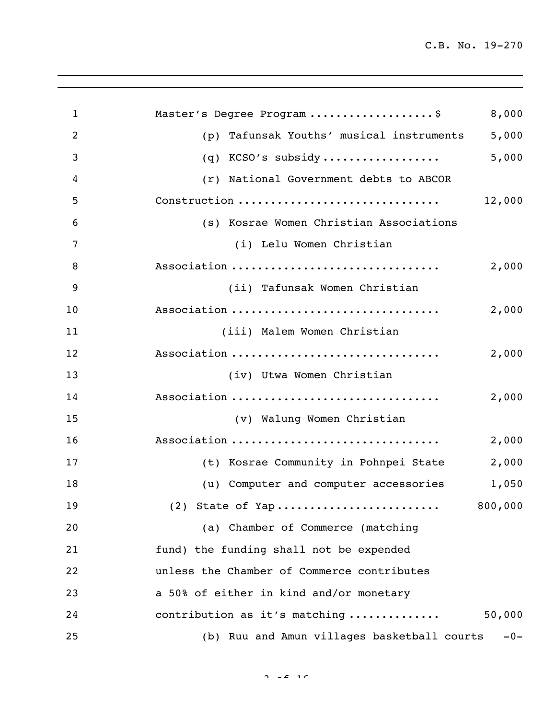| $\mathbf{1}$     | Master's Degree Program \$<br>8,000                  |
|------------------|------------------------------------------------------|
| $\overline{2}$   | 5,000<br>Tafunsak Youths' musical instruments<br>(p) |
| 3                | 5,000<br>(q) KCSO's subsidy                          |
| $\boldsymbol{4}$ | (r) National Government debts to ABCOR               |
| 5                | Construction<br>12,000                               |
| 6                | (s) Kosrae Women Christian Associations              |
| 7                | (i) Lelu Women Christian                             |
| 8                | Association<br>2,000                                 |
| 9                | (ii) Tafunsak Women Christian                        |
| 10               | Association<br>2,000                                 |
| 11               | (iii) Malem Women Christian                          |
| 12               | Association<br>2,000                                 |
| 13               | (iv) Utwa Women Christian                            |
| 14               | Association<br>2,000                                 |
| 15               | (v) Walung Women Christian                           |
| 16               | Association<br>2,000                                 |
| 17               | 2,000<br>(t) Kosrae Community in Pohnpei State       |
| 18               | (u) Computer and computer accessories<br>1,050       |
| 19               | 800,000                                              |
| 20               | (a) Chamber of Commerce (matching                    |
| 21               | fund) the funding shall not be expended              |
| 22               | unless the Chamber of Commerce contributes           |
| 23               | a 50% of either in kind and/or monetary              |
| 24               | contribution as it's matching<br>50,000              |
| 25               | (b) Ruu and Amun villages basketball courts<br>$-0-$ |

 $2 \times 16$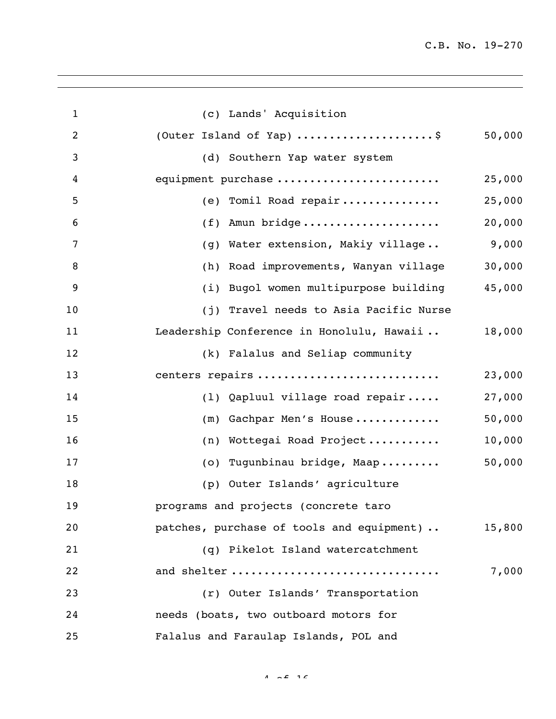| $\mathbf{1}$     | (c) Lands' Acquisition                              |  |
|------------------|-----------------------------------------------------|--|
| $\overline{2}$   | (Outer Island of Yap) \$<br>50,000                  |  |
| 3                | (d) Southern Yap water system                       |  |
| 4                | equipment purchase<br>25,000                        |  |
| 5                | 25,000<br>(e) Tomil Road repair                     |  |
| 6                | 20,000<br>$(f)$ Amun bridge                         |  |
| 7                | 9,000<br>(g) Water extension, Makiy village         |  |
| 8                | 30,000<br>(h) Road improvements, Wanyan village     |  |
| $\boldsymbol{9}$ | 45,000<br>(i) Bugol women multipurpose building     |  |
| 10               | (j) Travel needs to Asia Pacific Nurse              |  |
| 11               | Leadership Conference in Honolulu, Hawaii<br>18,000 |  |
| 12               | (k) Falalus and Seliap community                    |  |
| 13               | centers repairs<br>23,000                           |  |
| 14               | 27,000<br>(1) Qapluul village road repair           |  |
| 15               | 50,000<br>(m) Gachpar Men's House                   |  |
| 16               | 10,000<br>(n) Wottegai Road Project                 |  |
| 17               | 50,000<br>(o) Tugunbinau bridge, Maap               |  |
| 18               | (p) Outer Islands' agriculture                      |  |
| 19               | programs and projects (concrete taro                |  |
| 20               | patches, purchase of tools and equipment)<br>15,800 |  |
| 21               | (q) Pikelot Island watercatchment                   |  |
| 22               | and shelter<br>7,000                                |  |
| 23               | (r) Outer Islands' Transportation                   |  |
| 24               | needs (boats, two outboard motors for               |  |
| 25               | Falalus and Faraulap Islands, POL and               |  |

 $4 \times 2 \times 16$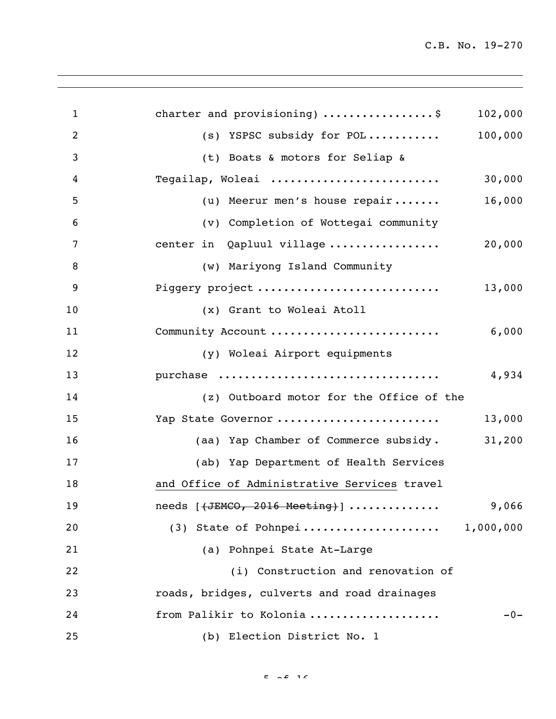| $\mathbf{1}$     | charter and provisioning) $\ldots$ \$        | 102,000 |
|------------------|----------------------------------------------|---------|
| $\overline{2}$   | (s) YSPSC subsidy for POL                    | 100,000 |
| 3                | (t) Boats & motors for Seliap &              |         |
| $\boldsymbol{4}$ | Tegailap, Woleai                             | 30,000  |
| 5                | (u) Meerur men's house repair                | 16,000  |
| 6                | (v) Completion of Wottegai community         |         |
| 7                | center in Qapluul village                    | 20,000  |
| 8                | (w) Mariyong Island Community                |         |
| 9                | Piggery project                              | 13,000  |
| 10               | (x) Grant to Woleai Atoll                    |         |
| 11               | Community Account                            | 6,000   |
| 12               | (y) Woleai Airport equipments                |         |
| 13               | purchase                                     | 4,934   |
| 14               | (z) Outboard motor for the Office of the     |         |
| 15               | Yap State Governor                           | 13,000  |
| 16               | (aa) Yap Chamber of Commerce subsidy.        | 31,200  |
| 17               | (ab) Yap Department of Health Services       |         |
| 18               | and Office of Administrative Services travel |         |
| 19               | needs $[$ (JEMCO, 2016 Meeting) ]            | 9,066   |
| 20               | (3) State of Pohnpei 1,000,000               |         |
| 21               | (a) Pohnpei State At-Large                   |         |
| 22               | (i) Construction and renovation of           |         |
| 23               | roads, bridges, culverts and road drainages  |         |
| 24               | from Palikir to Kolonia                      | $-0-$   |
| 25               | (b) Election District No. 1                  |         |
|                  |                                              |         |

 $F = \sqrt{2}$  16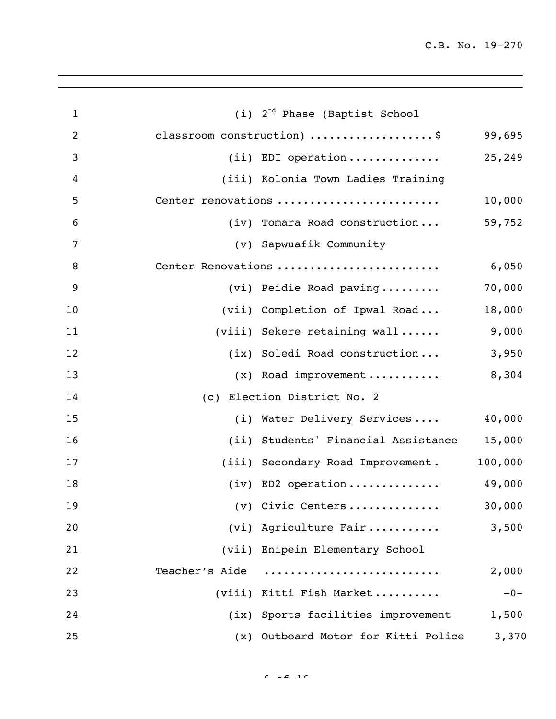| $\mathbf{1}$   | (i) 2 <sup>nd</sup> Phase (Baptist School |         |
|----------------|-------------------------------------------|---------|
| $\overline{2}$ | classroom construction) \$                | 99,695  |
| 3              | $(i)$ EDI operation                       | 25,249  |
| $\overline{4}$ | (iii) Kolonia Town Ladies Training        |         |
| 5              | Center renovations                        | 10,000  |
| 6              | (iv) Tomara Road construction             | 59,752  |
| 7              | (v) Sapwuafik Community                   |         |
| 8              | Center Renovations                        | 6,050   |
| 9              | (vi) Peidie Road paving                   | 70,000  |
| 10             | (vii) Completion of Ipwal Road            | 18,000  |
| 11             | (viii) Sekere retaining wall              | 9,000   |
| 12             | (ix) Soledi Road construction             | 3,950   |
| 13             | $(x)$ Road improvement 8,304              |         |
| 14             | (c) Election District No. 2               |         |
| 15             | (i) Water Delivery Services               | 40,000  |
| 16             | (ii) Students' Financial Assistance       | 15,000  |
| 17             | (iii) Secondary Road Improvement.         | 100,000 |
| 18             | (iv) ED2 operation                        | 49,000  |
| 19             | $(v)$ Civic Centers                       | 30,000  |
| 20             | (vi) Agriculture Fair                     | 3,500   |
| 21             | (vii) Enipein Elementary School           |         |
| 22             | Teacher's Aide                            | 2,000   |
| 23             | (viii) Kitti Fish Market                  | $-0-$   |
| 24             | (ix) Sports facilities improvement        | 1,500   |
| 25             | (x) Outboard Motor for Kitti Police       | 3,370   |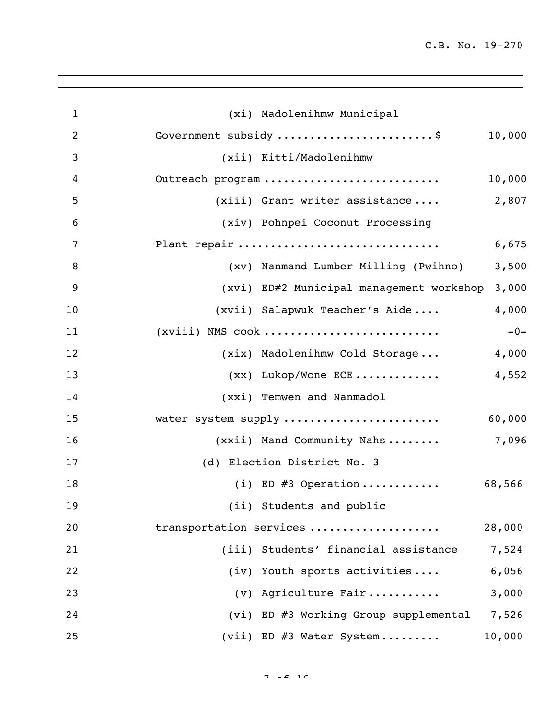| $\mathbf{1}$   | (xi) Madolenihmw Municipal                        |
|----------------|---------------------------------------------------|
| $\overline{c}$ | Government subsidy \$<br>10,000                   |
| 3              | (xii) Kitti/Madolenihmw                           |
| 4              | Outreach program<br>10,000                        |
| 5              | 2,807<br>$(xiii)$ Grant writer assistance         |
| 6              | (xiv) Pohnpei Coconut Processing                  |
| 7              | Plant repair<br>6,675                             |
| 8              | 3,500<br>(xv) Nanmand Lumber Milling (Pwihno)     |
| 9              | 3,000<br>(xvi) ED#2 Municipal management workshop |
| 10             | 4,000<br>(xvii) Salapwuk Teacher's Aide           |
| 11             | $(xviii)$ NMS cook<br>$-0-$                       |
| 12             | (xix) Madolenihmw Cold Storage<br>4,000           |
| 13             | $(xx)$ Lukop/Wone ECE<br>4,552                    |
| 14             | (xxi) Temwen and Nanmadol                         |
| 15             | water system supply<br>60,000                     |
| 16             | 7,096<br>(xxii) Mand Community Nahs               |
| 17             | (d) Election District No. 3                       |
| 18             | (i) ED $#3$ Operation<br>68,566                   |
| 19             | (ii) Students and public                          |
| 20             | transportation services<br>28,000                 |
| 21             | (iii) Students' financial assistance<br>7,524     |
| 22             | (iv) Youth sports activities<br>6,056             |
| 23             | (v) Agriculture Fair<br>3,000                     |
| 24             | (vi) ED #3 Working Group supplemental<br>7,526    |
| 25             | (vii) ED $#3$ Water System<br>10,000              |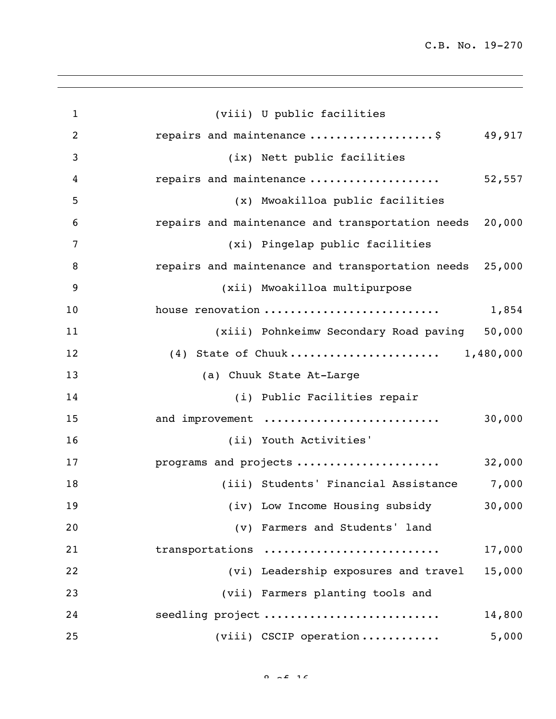| $\mathbf{1}$   | (viii) U public facilities                              |
|----------------|---------------------------------------------------------|
| $\overline{2}$ | repairs and maintenance \$ 49,917                       |
| 3              | (ix) Nett public facilities                             |
| 4              | repairs and maintenance<br>52,557                       |
| 5              | (x) Mwoakilloa public facilities                        |
| 6              | repairs and maintenance and transportation needs 20,000 |
| 7              | (xi) Pingelap public facilities                         |
| 8              | repairs and maintenance and transportation needs 25,000 |
| 9              | (xii) Mwoakilloa multipurpose                           |
| 10             | house renovation<br>1,854                               |
| 11             | (xiii) Pohnkeimw Secondary Road paving 50,000           |
| 12             | (4) State of Chuuk 1,480,000                            |
| 13             | (a) Chuuk State At-Large                                |
| 14             | (i) Public Facilities repair                            |
| 15             | and improvement<br>30,000                               |
| 16             | (ii) Youth Activities'                                  |
| 17             | programs and projects<br>32,000                         |
| 18             | 7,000<br>(iii) Students' Financial Assistance           |
| 19             | (iv) Low Income Housing subsidy<br>30,000               |
| 20             | (v) Farmers and Students' land                          |
| 21             | 17,000<br>transportations                               |
| 22             | (vi) Leadership exposures and travel<br>15,000          |
| 23             | (vii) Farmers planting tools and                        |
| 24             | seedling project<br>14,800                              |
| 25             | $(viii)$ CSCIP operation<br>5,000                       |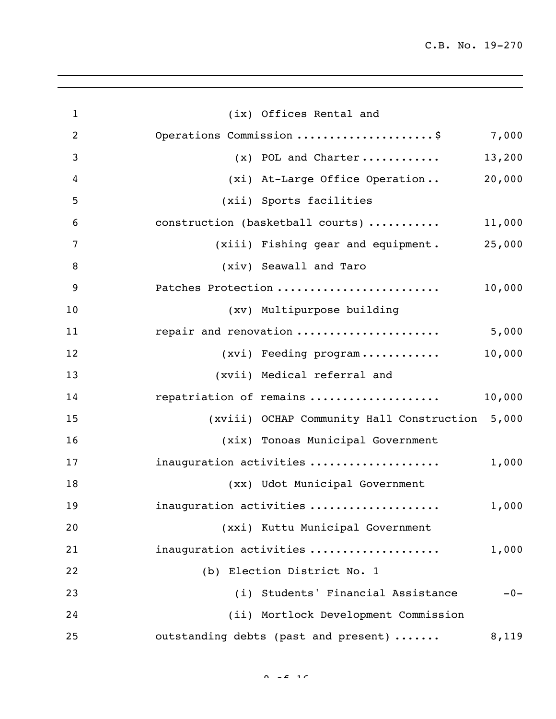| $\mathbf{1}$     | (ix) Offices Rental and                         |        |
|------------------|-------------------------------------------------|--------|
| $\overline{2}$   | Operations Commission \$ 7,000                  |        |
| 3                | $(x)$ POL and Charter                           | 13,200 |
| $\boldsymbol{4}$ | (xi) At-Large Office Operation                  | 20,000 |
| 5                | (xii) Sports facilities                         |        |
| 6                | construction (basketball courts)                | 11,000 |
| $\overline{7}$   | (xiii) Fishing gear and equipment.              | 25,000 |
| 8                | (xiv) Seawall and Taro                          |        |
| 9                | Patches Protection                              | 10,000 |
| 10               | (xv) Multipurpose building                      |        |
| 11               | repair and renovation                           | 5,000  |
| 12               | (xvi) Feeding program                           | 10,000 |
| 13               | (xvii) Medical referral and                     |        |
| 14               | repatriation of remains                         | 10,000 |
| 15               | (xviii) OCHAP Community Hall Construction 5,000 |        |
| 16               | (xix) Tonoas Municipal Government               |        |
| 17               | inauguration activities                         | 1,000  |
| 18               | (xx) Udot Municipal Government                  |        |
| 19               | inauguration activities                         | 1,000  |
| 20               | (xxi) Kuttu Municipal Government                |        |
| 21               | inauguration activities                         | 1,000  |
| 22               | (b) Election District No. 1                     |        |
| 23               | (i) Students' Financial Assistance              | $-0-$  |
| 24               | (ii) Mortlock Development Commission            |        |
| 25               | outstanding debts (past and present)            | 8,119  |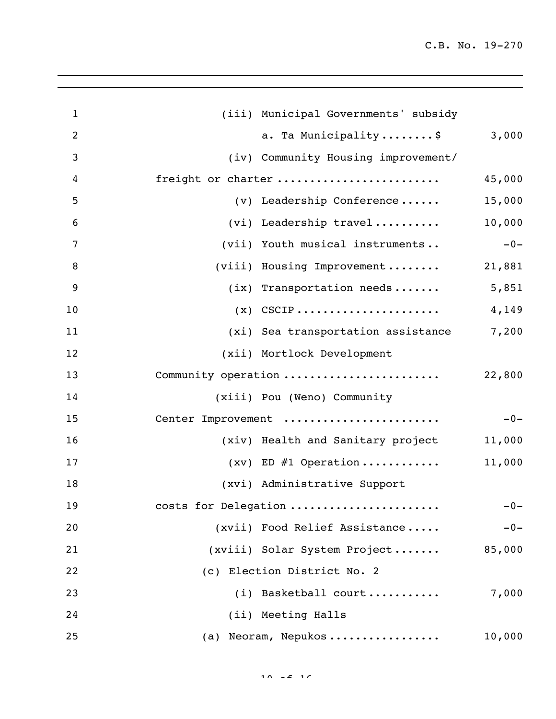| $\mathbf{1}$   | (iii) Municipal Governments' subsidy     |        |
|----------------|------------------------------------------|--------|
| $\overline{2}$ | a. Ta Municipality\$                     | 3,000  |
| 3              | (iv) Community Housing improvement/      |        |
| 4              | freight or charter                       | 45,000 |
| 5              | (v) Leadership Conference                | 15,000 |
| 6              | (vi) Leadership travel                   | 10,000 |
| 7              | (vii) Youth musical instruments          | $-0-$  |
| 8              | (viii) Housing Improvement               | 21,881 |
| 9              | $(ix)$ Transportation needs              | 5,851  |
| 10             | $(x)$ CSCIP                              | 4,149  |
| 11             | (xi) Sea transportation assistance 7,200 |        |
| 12             | (xii) Mortlock Development               |        |
| 13             | Community operation                      | 22,800 |
| 14             | (xiii) Pou (Weno) Community              |        |
| 15             | Center Improvement                       | $-0-$  |
| 16             | (xiv) Health and Sanitary project        | 11,000 |
| 17             | $(xv)$ ED #1 Operation                   | 11,000 |
| 18             | (xvi) Administrative Support             |        |
| 19             | costs for Delegation                     | $-0-$  |
| 20             | (xvii) Food Relief Assistance            | $-0-$  |
| 21             | (xviii) Solar System Project             | 85,000 |
| 22             | (c) Election District No. 2              |        |
| 23             | (i) Basketball court                     | 7,000  |
| 24             | (ii) Meeting Halls                       |        |
| 25             | (a) Neoram, Nepukos                      | 10,000 |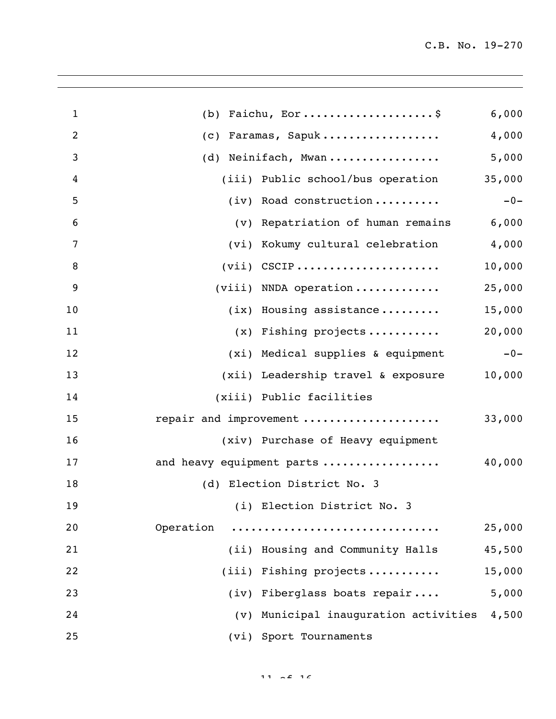| $\mathbf{1}$   | Faichu, Eor\$<br>(b)                        | 6,000  |
|----------------|---------------------------------------------|--------|
| $\overline{2}$ | Faramas, Sapuk<br>(C)                       | 4,000  |
| 3              | (d) Neinifach, Mwan                         | 5,000  |
| 4              | (iii) Public school/bus operation           | 35,000 |
| 5              | $(iv)$ Road construction                    | $-0-$  |
| 6              | (v) Repatriation of human remains           | 6,000  |
| $\overline{7}$ | (vi) Kokumy cultural celebration            | 4,000  |
| 8              | $(vii)$ CSCIP                               | 10,000 |
| 9              | $(viii)$ NNDA operation                     | 25,000 |
| 10             | $(ix)$ Housing assistance                   | 15,000 |
| 11             | $(x)$ Fishing projects                      | 20,000 |
| 12             | (xi) Medical supplies & equipment           | $-0-$  |
| 13             | (xii) Leadership travel & exposure          | 10,000 |
| 14             | (xiii) Public facilities                    |        |
| 15             | repair and improvement                      | 33,000 |
| 16             | (xiv) Purchase of Heavy equipment           |        |
| 17             | and heavy equipment parts                   | 40,000 |
| 18             | (d) Election District No. 3                 |        |
| 19             | (i) Election District No. 3                 |        |
| 20             | Operation                                   | 25,000 |
| 21             | (ii) Housing and Community Halls            | 45,500 |
| 22             | (iii) Fishing projects                      | 15,000 |
| 23             | (iv) Fiberglass boats repair                | 5,000  |
| 24             | (v) Municipal inauguration activities 4,500 |        |
| 25             | (vi) Sport Tournaments                      |        |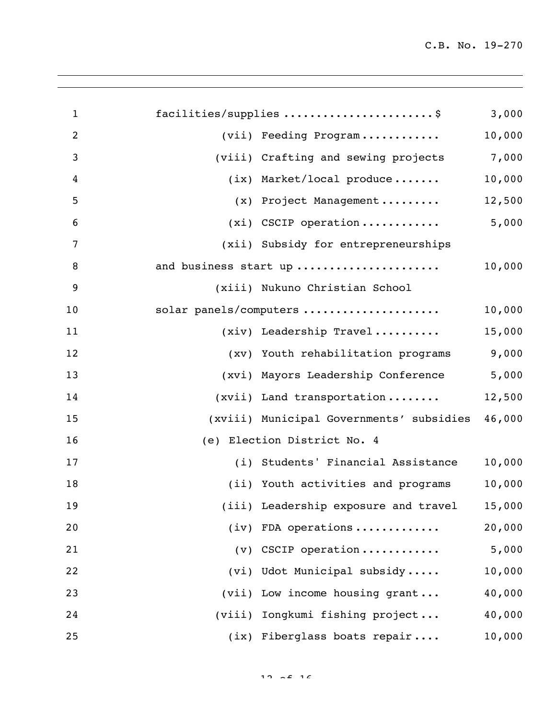| $\mathbf{1}$   | facilities/supplies \$                    | 3,000  |
|----------------|-------------------------------------------|--------|
| $\overline{2}$ | (vii) Feeding Program                     | 10,000 |
| $\mathfrak{Z}$ | (viii) Crafting and sewing projects 7,000 |        |
| $\overline{4}$ | $(ix)$ Market/local produce               | 10,000 |
| 5              | (x) Project Management                    | 12,500 |
| 6              | $(xi)$ CSCIP operation                    | 5,000  |
| $\overline{7}$ | (xii) Subsidy for entrepreneurships       |        |
| 8              | and business start up                     | 10,000 |
| $\overline{9}$ | (xiii) Nukuno Christian School            |        |
| 10             | solar panels/computers                    | 10,000 |
| 11             | $(xiv)$ Leadership Travel                 | 15,000 |
| 12             | (xv) Youth rehabilitation programs        | 9,000  |
| 13             | (xvi) Mayors Leadership Conference        | 5,000  |
| 14             | (xvii) Land transportation                | 12,500 |
| 15             | (xviii) Municipal Governments' subsidies  | 46,000 |
| 16             | (e) Election District No. 4               |        |
| 17             | (i) Students' Financial Assistance        | 10,000 |
| 18             | (ii) Youth activities and programs        | 10,000 |
| 19             | (iii) Leadership exposure and travel      | 15,000 |
| 20             | $(iv)$ FDA operations                     | 20,000 |
| 21             | $(v)$ CSCIP operation                     | 5,000  |
| 22             | (vi) Udot Municipal subsidy               | 10,000 |
| 23             | (vii) Low income housing grant            | 40,000 |
| 24             | (viii) Iongkumi fishing project           | 40,000 |
| 25             | (ix) Fiberglass boats repair              | 10,000 |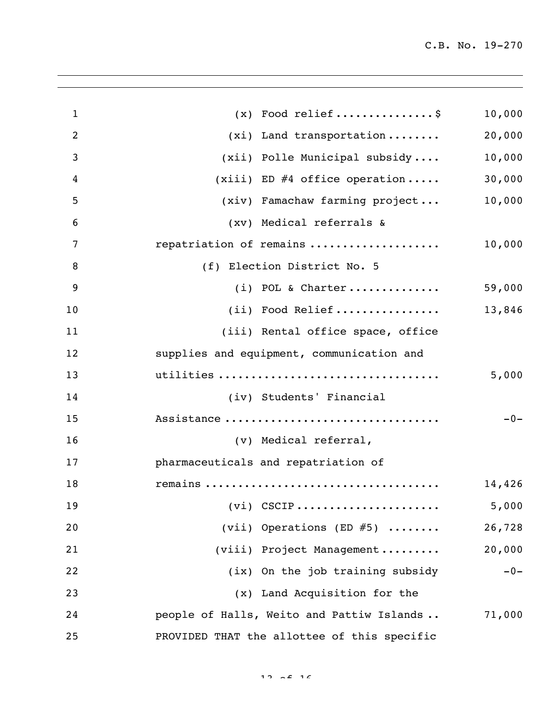| $\mathbf{1}$   | $(x)$ Food relief\$                         | 10,000 |
|----------------|---------------------------------------------|--------|
| $\overline{2}$ | $(xi)$ Land transportation                  | 20,000 |
| 3              | (xii) Polle Municipal subsidy               | 10,000 |
| 4              | $(xiii)$ ED #4 office operation             | 30,000 |
| 5              | (xiv) Famachaw farming project              | 10,000 |
| 6              | (xv) Medical referrals &                    |        |
| 7              | repatriation of remains                     | 10,000 |
| 8              | (f) Election District No. 5                 |        |
| 9              | $(i)$ POL & Charter                         | 59,000 |
| 10             | (ii) Food Relief                            | 13,846 |
| 11             | (iii) Rental office space, office           |        |
| 12             | supplies and equipment, communication and   |        |
| 13             | utilities                                   | 5,000  |
| 14             | (iv) Students' Financial                    |        |
| 15             | Assistance                                  | $-0-$  |
| 16             | (v) Medical referral,                       |        |
| 17             | pharmaceuticals and repatriation of         |        |
| 18             |                                             | 14,426 |
| 19             |                                             | 5,000  |
| 20             | (vii) Operations (ED $#5$ )                 | 26,728 |
| 21             | (viii) Project Management                   | 20,000 |
| 22             | (ix) On the job training subsidy            | $-0-$  |
| 23             | (x) Land Acquisition for the                |        |
| 24             | people of Halls, Weito and Pattiw Islands   | 71,000 |
| 25             | PROVIDED THAT the allottee of this specific |        |

 $12 \times 216$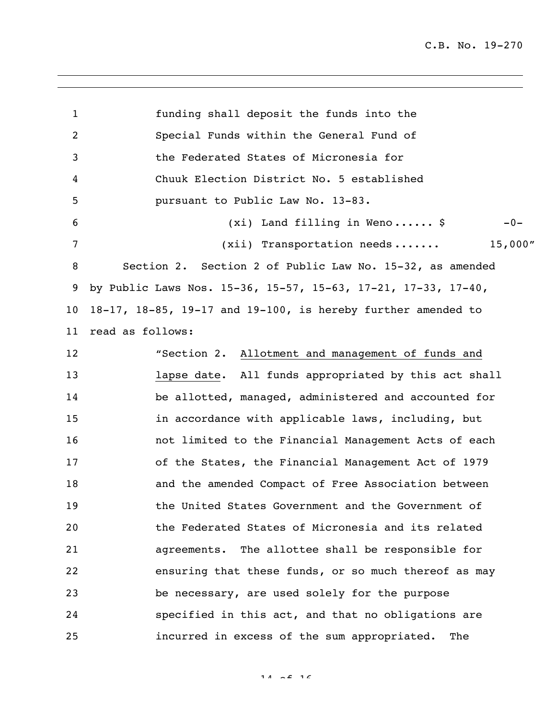funding shall deposit the funds into the Special Funds within the General Fund of the Federated States of Micronesia for Chuuk Election District No. 5 established pursuant to Public Law No. 13-83. (xi) Land filling in Weno ...... \$ -0- 7 (xii) Transportation needs ....... 15,000" Section 2. Section 2 of Public Law No. 15-32, as amended by Public Laws Nos. 15-36, 15-57, 15-63, 17-21, 17-33, 17-40, 18-17, 18-85, 19-17 and 19-100, is hereby further amended to read as follows: "Section 2. Allotment and management of funds and lapse date. All funds appropriated by this act shall be allotted, managed, administered and accounted for in accordance with applicable laws, including, but not limited to the Financial Management Acts of each of the States, the Financial Management Act of 1979 and the amended Compact of Free Association between the United States Government and the Government of the Federated States of Micronesia and its related agreements. The allottee shall be responsible for ensuring that these funds, or so much thereof as may be necessary, are used solely for the purpose specified in this act, and that no obligations are incurred in excess of the sum appropriated. The

 $14 \times 2 \times 16$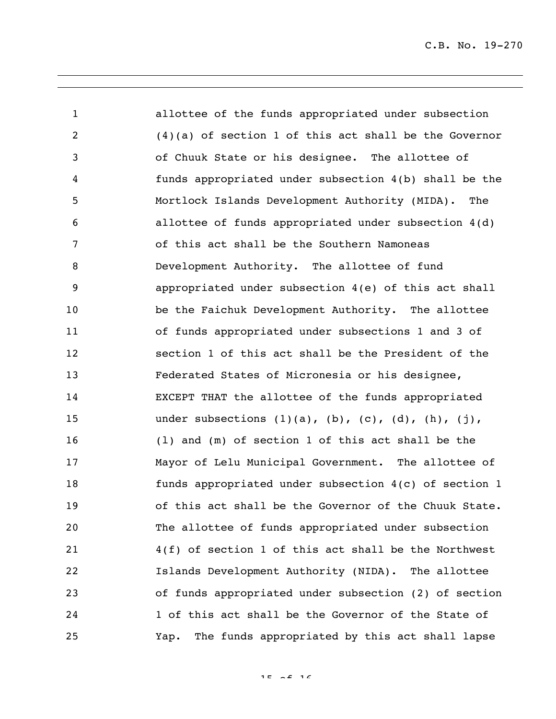allottee of the funds appropriated under subsection (4)(a) of section 1 of this act shall be the Governor of Chuuk State or his designee. The allottee of funds appropriated under subsection 4(b) shall be the Mortlock Islands Development Authority (MIDA). The allottee of funds appropriated under subsection 4(d) of this act shall be the Southern Namoneas Development Authority. The allottee of fund appropriated under subsection 4(e) of this act shall be the Faichuk Development Authority. The allottee of funds appropriated under subsections 1 and 3 of section 1 of this act shall be the President of the Federated States of Micronesia or his designee, EXCEPT THAT the allottee of the funds appropriated 15 under subsections (1)(a), (b), (c), (d), (h), (j), (l) and (m) of section 1 of this act shall be the Mayor of Lelu Municipal Government. The allottee of funds appropriated under subsection 4(c) of section 1 of this act shall be the Governor of the Chuuk State. The allottee of funds appropriated under subsection 4(f) of section 1 of this act shall be the Northwest Islands Development Authority (NIDA). The allottee of funds appropriated under subsection (2) of section 1 of this act shall be the Governor of the State of Yap. The funds appropriated by this act shall lapse

 $15 - 25$  16